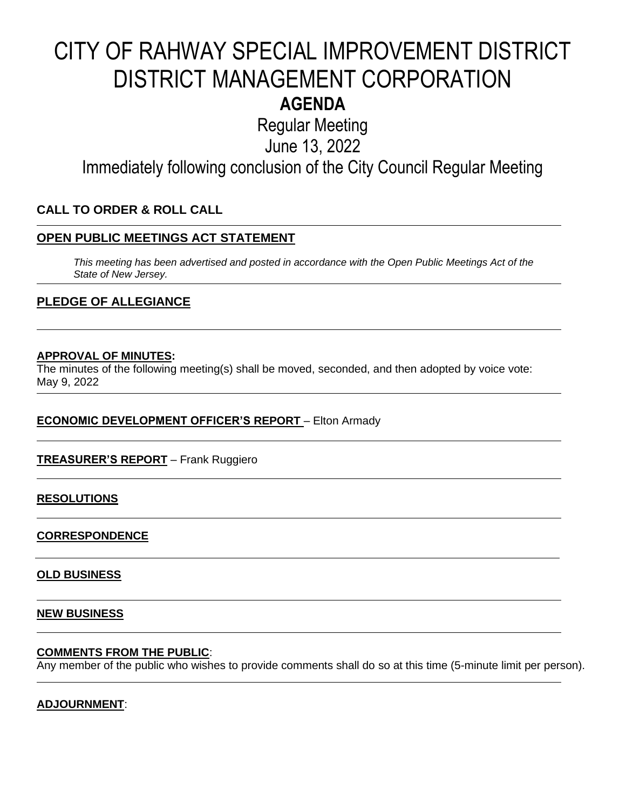## CITY OF RAHWAY SPECIAL IMPROVEMENT DISTRICT DISTRICT MANAGEMENT CORPORATION **AGENDA**

Regular Meeting

June 13, 2022

Immediately following conclusion of the City Council Regular Meeting

#### **CALL TO ORDER & ROLL CALL**

#### **OPEN PUBLIC MEETINGS ACT STATEMENT**

*This meeting has been advertised and posted in accordance with the Open Public Meetings Act of the State of New Jersey.*

#### **PLEDGE OF ALLEGIANCE**

#### **APPROVAL OF MINUTES:**

The minutes of the following meeting(s) shall be moved, seconded, and then adopted by voice vote: May 9, 2022

#### **ECONOMIC DEVELOPMENT OFFICER'S REPORT** – Elton Armady

#### **TREASURER'S REPORT** – Frank Ruggiero

#### **RESOLUTIONS**

#### **CORRESPONDENCE**

#### **OLD BUSINESS**

#### **NEW BUSINESS**

#### **COMMENTS FROM THE PUBLIC**:

Any member of the public who wishes to provide comments shall do so at this time (5-minute limit per person).

#### **ADJOURNMENT**: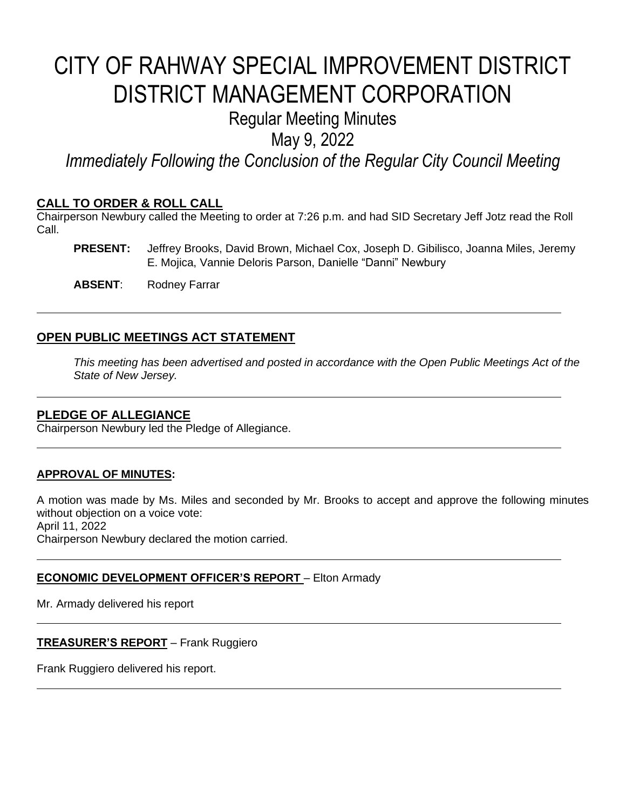## CITY OF RAHWAY SPECIAL IMPROVEMENT DISTRICT DISTRICT MANAGEMENT CORPORATION

### Regular Meeting Minutes

May 9, 2022

*Immediately Following the Conclusion of the Regular City Council Meeting*

#### **CALL TO ORDER & ROLL CALL**

Chairperson Newbury called the Meeting to order at 7:26 p.m. and had SID Secretary Jeff Jotz read the Roll Call.

**PRESENT:** Jeffrey Brooks, David Brown, Michael Cox, Joseph D. Gibilisco, Joanna Miles, Jeremy E. Mojica, Vannie Deloris Parson, Danielle "Danni" Newbury

**ABSENT**: Rodney Farrar

#### **OPEN PUBLIC MEETINGS ACT STATEMENT**

*This meeting has been advertised and posted in accordance with the Open Public Meetings Act of the State of New Jersey.*

#### **PLEDGE OF ALLEGIANCE**

Chairperson Newbury led the Pledge of Allegiance.

#### **APPROVAL OF MINUTES:**

A motion was made by Ms. Miles and seconded by Mr. Brooks to accept and approve the following minutes without objection on a voice vote: April 11, 2022 Chairperson Newbury declared the motion carried.

#### **ECONOMIC DEVELOPMENT OFFICER'S REPORT** – Elton Armady

Mr. Armady delivered his report

**TREASURER'S REPORT** – Frank Ruggiero

Frank Ruggiero delivered his report.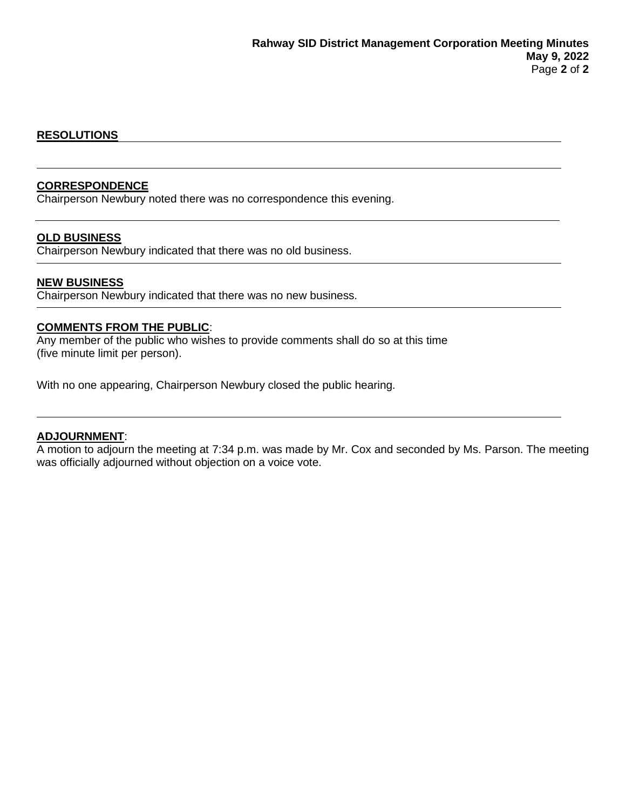#### **RESOLUTIONS**

#### **CORRESPONDENCE**

Chairperson Newbury noted there was no correspondence this evening.

#### **OLD BUSINESS**

Chairperson Newbury indicated that there was no old business.

#### **NEW BUSINESS**

Chairperson Newbury indicated that there was no new business.

#### **COMMENTS FROM THE PUBLIC**:

Any member of the public who wishes to provide comments shall do so at this time (five minute limit per person).

With no one appearing, Chairperson Newbury closed the public hearing.

#### **ADJOURNMENT**:

A motion to adjourn the meeting at 7:34 p.m. was made by Mr. Cox and seconded by Ms. Parson. The meeting was officially adjourned without objection on a voice vote.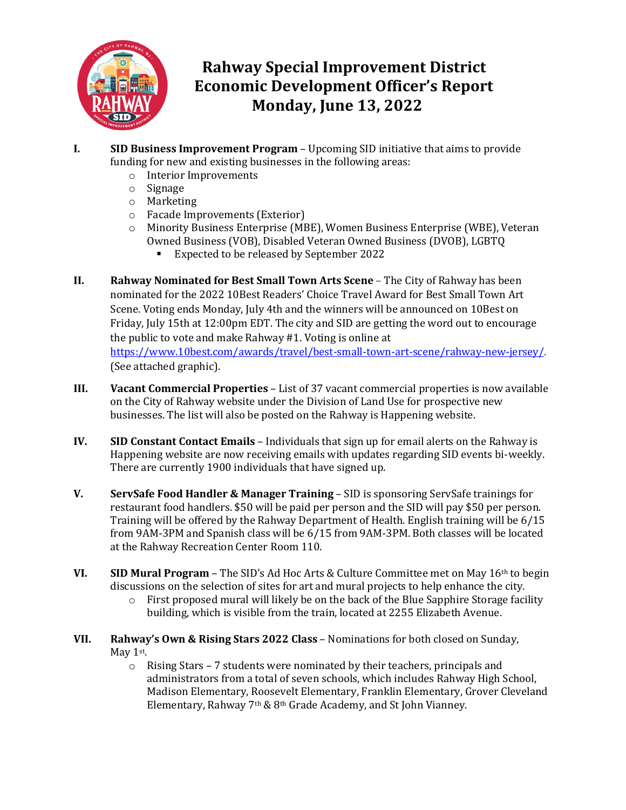

### **Rahway Special Improvement District Economic Development Officer's Report Monday, June 13, 2022**

- **I. SID Business Improvement Program** Upcoming SID initiative that aims to provide funding for new and existing businesses in the following areas:
	- o Interior Improvements
	- o Signage
	- o Marketing
	- o Facade Improvements (Exterior)
	- o Minority Business Enterprise (MBE), Women Business Enterprise (WBE), Veteran Owned Business (VOB), Disabled Veteran Owned Business (DVOB), LGBTQ
		- Expected to be released by September 2022
- **II. Rahway Nominated for Best Small Town Arts Scene** The City of Rahway has been nominated for the 2022 10Best Readers' Choice Travel Award for Best Small Town Art Scene. Voting ends Monday, July 4th and the winners will be announced on 10Best on Friday, July 15th at 12:00pm EDT. The city and SID are getting the word out to encourage the public to vote and make Rahway #1. Voting is online at [https://www.10best.com/awards/travel/best-small-town-art-scene/rahway-new-jersey/.](https://www.10best.com/awards/travel/best-small-town-art-scene/rahway-new-jersey/)  (See attached graphic).
- **III. Vacant Commercial Properties**  List of 37 vacant commercial properties is now available on the City of Rahway website under the Division of Land Use for prospective new businesses. The list will also be posted on the Rahway is Happening website.
- **IV. SID Constant Contact Emails** Individuals that sign up for email alerts on the Rahway is Happening website are now receiving emails with updates regarding SID events bi-weekly. There are currently 1900 individuals that have signed up.
- **V. ServSafe Food Handler & Manager Training** SID is sponsoring ServSafe trainings for restaurant food handlers. \$50 will be paid per person and the SID will pay \$50 per person. Training will be offered by the Rahway Department of Health. English training will be 6/15 from 9AM-3PM and Spanish class will be 6/15 from 9AM-3PM. Both classes will be located at the Rahway Recreation Center Room 110.
- **VI. SID Mural Program** The SID's Ad Hoc Arts & Culture Committee met on May 16th to begin discussions on the selection of sites for art and mural projects to help enhance the city.<br>  $\circ$  First proposed mural will likely be on the back of the Blue Sapphire Storage faci
	- First proposed mural will likely be on the back of the Blue Sapphire Storage facility building, which is visible from the train, located at 2255 Elizabeth Avenue.
- **VII. Rahway's Own & Rising Stars 2022 Class** Nominations for both closed on Sunday, May 1st.
	- o Rising Stars 7 students were nominated by their teachers, principals and administrators from a total of seven schools, which includes Rahway High School, Madison Elementary, Roosevelt Elementary, Franklin Elementary, Grover Cleveland Elementary, Rahway 7th & 8th Grade Academy, and St John Vianney.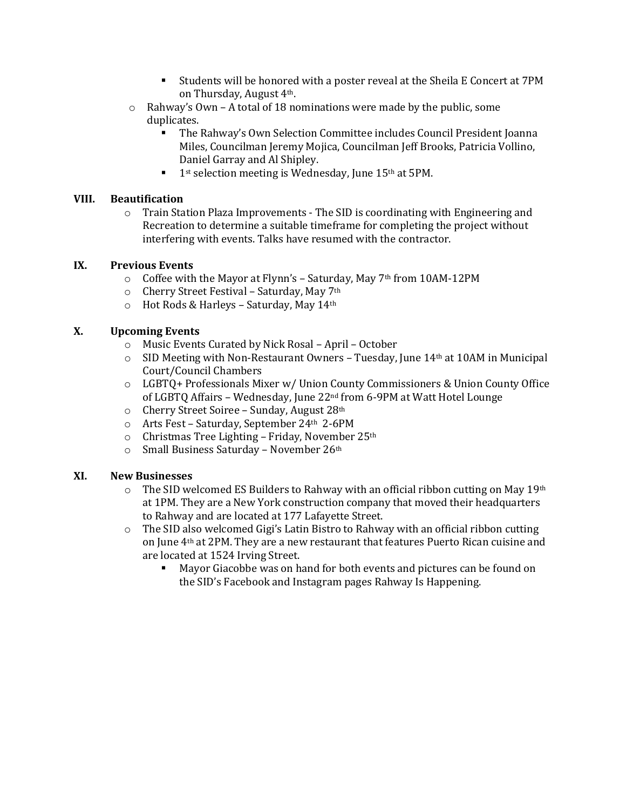- Students will be honored with a poster reveal at the Sheila E Concert at 7PM on Thursday, August 4th.
- o Rahway's Own A total of 18 nominations were made by the public, some duplicates.
	- The Rahway's Own Selection Committee includes Council President Joanna Miles, Councilman Jeremy Mojica, Councilman Jeff Brooks, Patricia Vollino, Daniel Garray and Al Shipley.
	- $\blacksquare$  1st selection meeting is Wednesday, June 15<sup>th</sup> at 5PM.

#### **VIII. Beautification**

 $\circ$  Train Station Plaza Improvements - The SID is coordinating with Engineering and Recreation to determine a suitable timeframe for completing the project without interfering with events. Talks have resumed with the contractor.

#### **IX. Previous Events**

- $\circ$  Coffee with the Mayor at Flynn's Saturday, May 7<sup>th</sup> from 10AM-12PM
- o Cherry Street Festival Saturday, May 7th
- o Hot Rods & Harleys Saturday, May 14th

#### **X. Upcoming Events**

- o Music Events Curated by Nick Rosal April October
- $\circ$  SID Meeting with Non-Restaurant Owners Tuesday, June 14<sup>th</sup> at 10AM in Municipal Court/Council Chambers
- o LGBTQ+ Professionals Mixer w/ Union County Commissioners & Union County Office of LGBTQ Affairs – Wednesday, June 22nd from 6-9PM at Watt Hotel Lounge
- o Cherry Street Soiree Sunday, August 28th
- o Arts Fest Saturday, September 24th 2-6PM
- o Christmas Tree Lighting Friday, November 25th
- o Small Business Saturday November 26th

#### **XI. New Businesses**

- $\circ$  The SID welcomed ES Builders to Rahway with an official ribbon cutting on May 19th at 1PM. They are a New York construction company that moved their headquarters to Rahway and are located at 177 Lafayette Street.
- o The SID also welcomed Gigi's Latin Bistro to Rahway with an official ribbon cutting on June 4th at 2PM. They are a new restaurant that features Puerto Rican cuisine and are located at 1524 Irving Street.<br>Mayor Giacobbe was on h
	- Mayor Giacobbe was on hand for both events and pictures can be found on the SID's Facebook and Instagram pages Rahway Is Happening.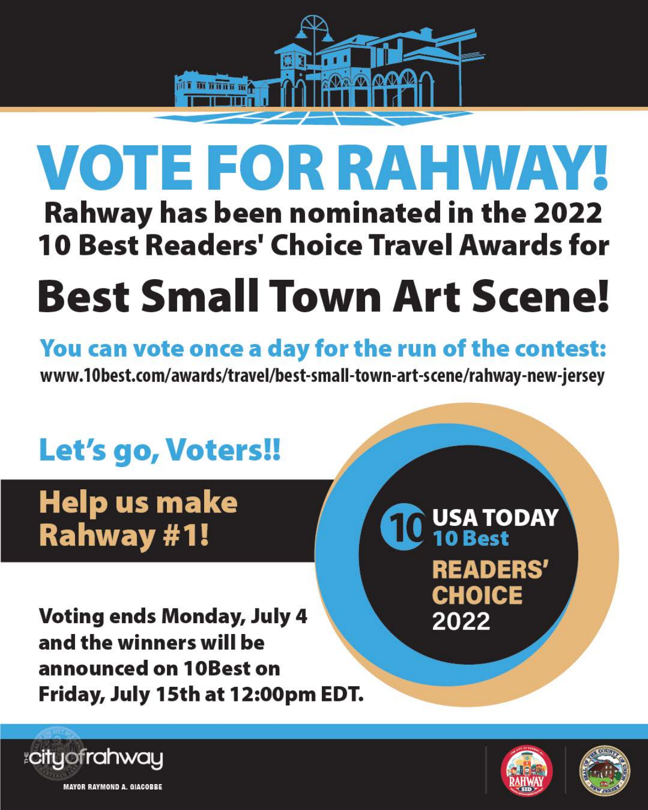

# VOTE FOR RAHWAY!

**Rahway has been nominated in the 2022 10 Best Readers' Choice Travel Awards for** 

# **Best Small Town Art Scene!**

# You can vote once a day for the run of the contest:

www.10best.com/awards/travel/best-small-town-art-scene/rahway-new-jersey

# Let's go, Voters!!

**Help us make Rahway #1!** 





# Voting ends Monday, July 4 and the winners will be announced on 10Best on Friday, July 15th at 12:00pm EDT.









**MAYOR RAYMOND A. GIACOBBE**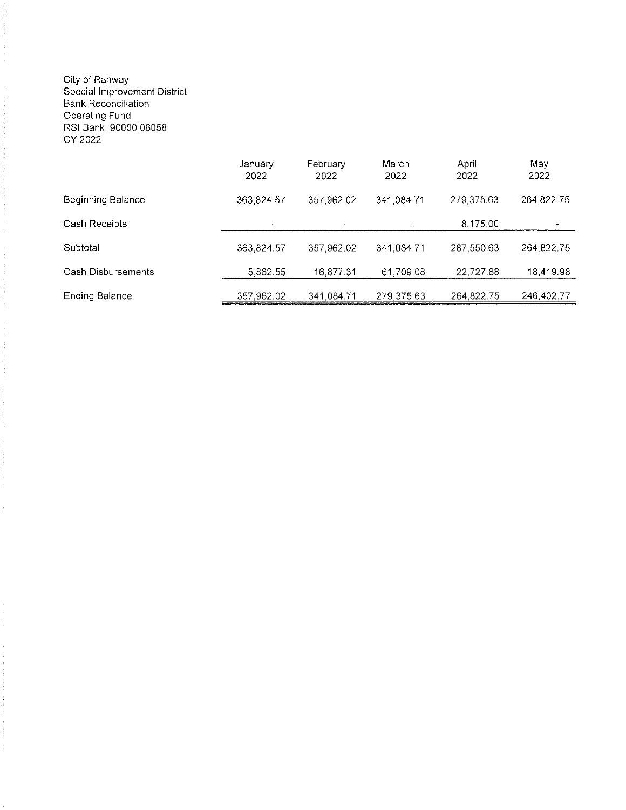## City of Rahway<br>Special Improvement District<br>Bank Reconciliation Operating Fund<br>RSI Bank 90000 08058 CY 2022

|                       | January<br>2022 | February<br>2022 | March<br>2022 | April<br>2022 | May<br>2022 |
|-----------------------|-----------------|------------------|---------------|---------------|-------------|
| Beginning Balance     | 363,824.57      | 357,962.02       | 341,084.71    | 279 375 63    | 264,822.75  |
| Cash Receipts         | $\bullet$       | $\bullet$        |               | 8,175.00      |             |
| Subtotal              | 363,824.57      | 357.962.02       | 341,084.71    | 287 550 63    | 264,822.75  |
| Cash Disbursements    | 5.862.55        | 16,877.31        | 61,709.08     | 22,727.88     | 18,419.98   |
| <b>Ending Balance</b> | 357,962.02      | 341,084.71       | 279,375.63    | 264, 822. 75  | 246,402.77  |